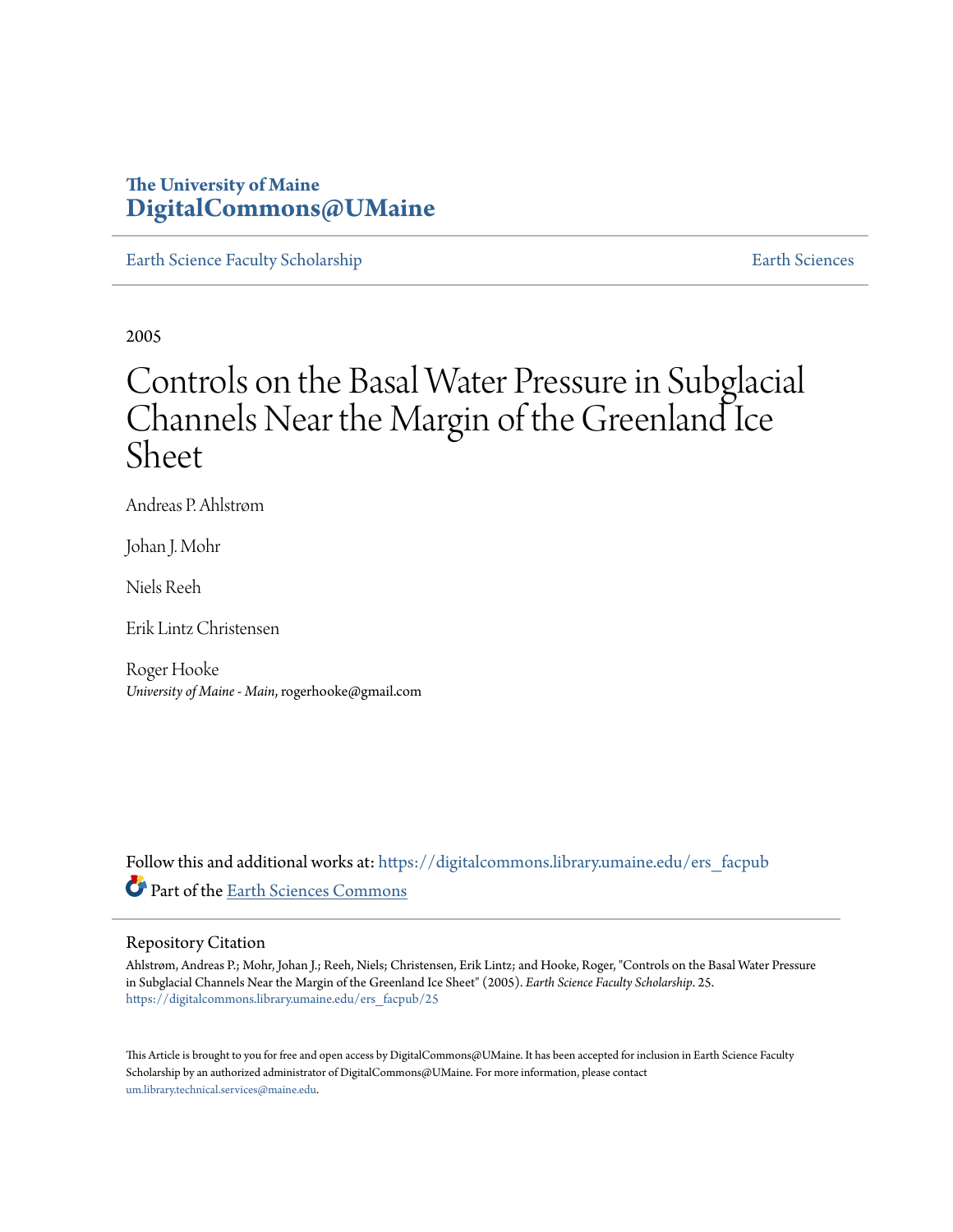### **The University of Maine [DigitalCommons@UMaine](https://digitalcommons.library.umaine.edu?utm_source=digitalcommons.library.umaine.edu%2Fers_facpub%2F25&utm_medium=PDF&utm_campaign=PDFCoverPages)**

[Earth Science Faculty Scholarship](https://digitalcommons.library.umaine.edu/ers_facpub?utm_source=digitalcommons.library.umaine.edu%2Fers_facpub%2F25&utm_medium=PDF&utm_campaign=PDFCoverPages) **[Earth Sciences](https://digitalcommons.library.umaine.edu/ers?utm_source=digitalcommons.library.umaine.edu%2Fers_facpub%2F25&utm_medium=PDF&utm_campaign=PDFCoverPages)** 

2005

# Controls on the Basal Water Pressure in Subglacial Channels Near the Margin of the Greenland Ice Sheet

Andreas P. Ahlstrøm

Johan J. Mohr

Niels Reeh

Erik Lintz Christensen

Roger Hooke *University of Maine - Main*, rogerhooke@gmail.com

Follow this and additional works at: [https://digitalcommons.library.umaine.edu/ers\\_facpub](https://digitalcommons.library.umaine.edu/ers_facpub?utm_source=digitalcommons.library.umaine.edu%2Fers_facpub%2F25&utm_medium=PDF&utm_campaign=PDFCoverPages) Part of the [Earth Sciences Commons](http://network.bepress.com/hgg/discipline/153?utm_source=digitalcommons.library.umaine.edu%2Fers_facpub%2F25&utm_medium=PDF&utm_campaign=PDFCoverPages)

#### Repository Citation

Ahlstrøm, Andreas P.; Mohr, Johan J.; Reeh, Niels; Christensen, Erik Lintz; and Hooke, Roger, "Controls on the Basal Water Pressure in Subglacial Channels Near the Margin of the Greenland Ice Sheet" (2005). *Earth Science Faculty Scholarship*. 25. [https://digitalcommons.library.umaine.edu/ers\\_facpub/25](https://digitalcommons.library.umaine.edu/ers_facpub/25?utm_source=digitalcommons.library.umaine.edu%2Fers_facpub%2F25&utm_medium=PDF&utm_campaign=PDFCoverPages)

This Article is brought to you for free and open access by DigitalCommons@UMaine. It has been accepted for inclusion in Earth Science Faculty Scholarship by an authorized administrator of DigitalCommons@UMaine. For more information, please contact [um.library.technical.services@maine.edu](mailto:um.library.technical.services@maine.edu).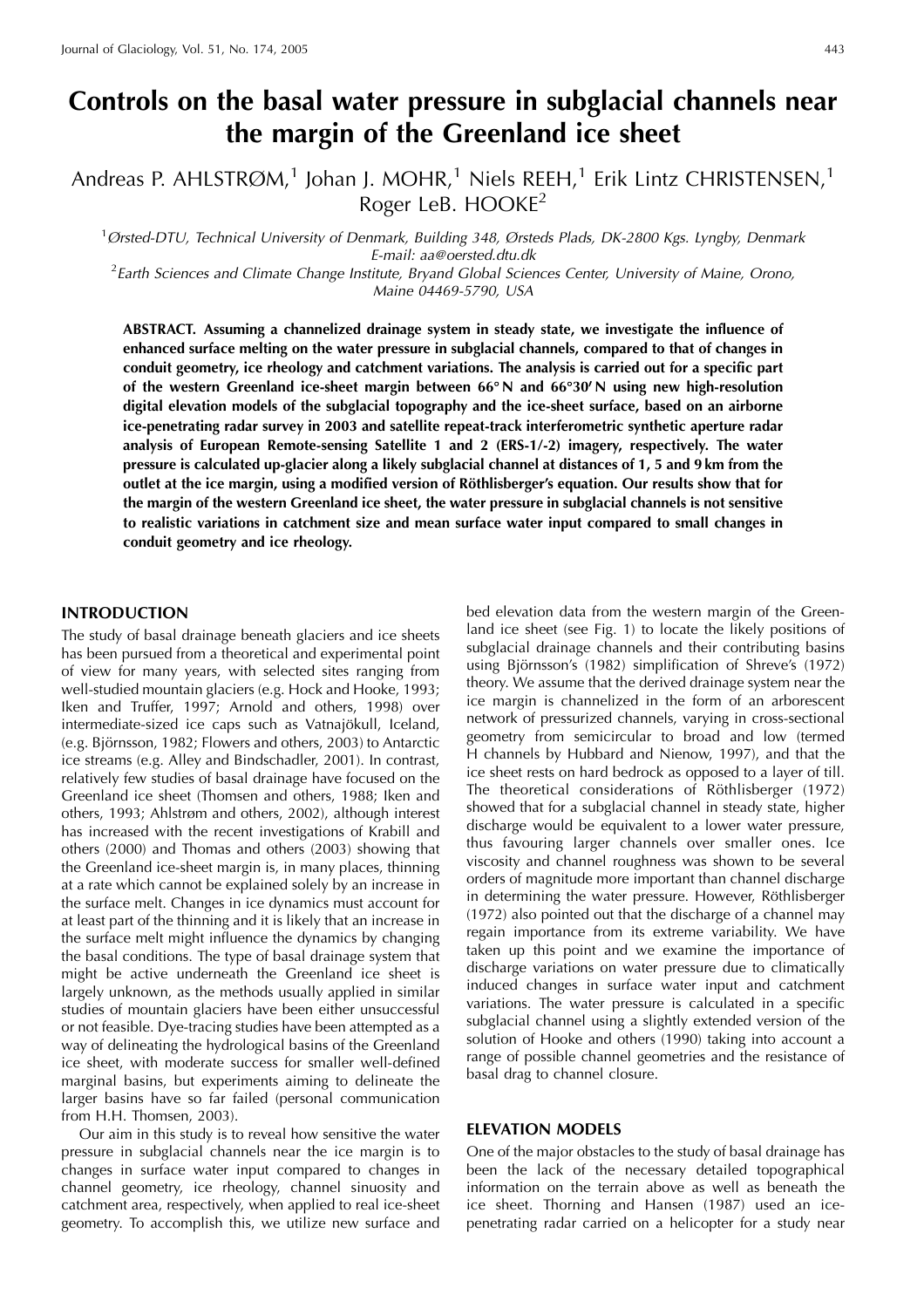## Controls on the basal water pressure in subglacial channels near the margin of the Greenland ice sheet

Andreas P. AHLSTRØM,<sup>1</sup> Johan J. MOHR,<sup>1</sup> Niels REEH,<sup>1</sup> Erik Lintz CHRISTENSEN,<sup>1</sup> Roger LeB. HOOKE<sup>2</sup>

<sup>1</sup>Ørsted-DTU, Technical University of Denmark, Building 348, Ørsteds Plads, DK-2800 Kgs. Lyngby, Denmark E-mail: aa@oersted.dtu.dk

<sup>2</sup> Earth Sciences and Climate Change Institute, Bryand Global Sciences Center, University of Maine, Orono, Maine 04469-5790, USA

ABSTRACT. Assuming a channelized drainage system in steady state, we investigate the influence of enhanced surface melting on the water pressure in subglacial channels, compared to that of changes in conduit geometry, ice rheology and catchment variations. The analysis is carried out for a specific part of the western Greenland ice-sheet margin between 66°N and 66°30'N using new high-resolution digital elevation models of the subglacial topography and the ice-sheet surface, based on an airborne ice-penetrating radar survey in 2003 and satellite repeat-track interferometric synthetic aperture radar analysis of European Remote-sensing Satellite 1 and 2 (ERS-1/-2) imagery, respectively. The water pressure is calculated up-glacier along a likely subglacial channel at distances of 1, 5 and 9 km from the outlet at the ice margin, using a modified version of Röthlisberger's equation. Our results show that for the margin of the western Greenland ice sheet, the water pressure in subglacial channels is not sensitive to realistic variations in catchment size and mean surface water input compared to small changes in conduit geometry and ice rheology.

#### **INTRODUCTION**

The study of basal drainage beneath glaciers and ice sheets has been pursued from a theoretical and experimental point of view for many years, with selected sites ranging from well-studied mountain glaciers (e.g. Hock and Hooke, 1993; Iken and Truffer, 1997; Arnold and others, 1998) over intermediate-sized ice caps such as Vatnajökull, Iceland, (e.g. Björnsson, 1982; Flowers and others, 2003) to Antarctic ice streams (e.g. Alley and Bindschadler, 2001). In contrast, relatively few studies of basal drainage have focused on the Greenland ice sheet (Thomsen and others, 1988; Iken and others, 1993; Ahlstrøm and others, 2002), although interest has increased with the recent investigations of Krabill and others (2000) and Thomas and others (2003) showing that the Greenland ice-sheet margin is, in many places, thinning at a rate which cannot be explained solely by an increase in the surface melt. Changes in ice dynamics must account for at least part of the thinning and it is likely that an increase in the surface melt might influence the dynamics by changing the basal conditions. The type of basal drainage system that might be active underneath the Greenland ice sheet is largely unknown, as the methods usually applied in similar studies of mountain glaciers have been either unsuccessful or not feasible. Dye-tracing studies have been attempted as a way of delineating the hydrological basins of the Greenland ice sheet, with moderate success for smaller well-defined marginal basins, but experiments aiming to delineate the larger basins have so far failed (personal communication from H.H. Thomsen, 2003).

Our aim in this study is to reveal how sensitive the water pressure in subglacial channels near the ice margin is to changes in surface water input compared to changes in channel geometry, ice rheology, channel sinuosity and catchment area, respectively, when applied to real ice-sheet geometry. To accomplish this, we utilize new surface and bed elevation data from the western margin of the Greenland ice sheet (see Fig. 1) to locate the likely positions of subglacial drainage channels and their contributing basins using Björnsson's (1982) simplification of Shreve's (1972) theory. We assume that the derived drainage system near the ice margin is channelized in the form of an arborescent network of pressurized channels, varying in cross-sectional geometry from semicircular to broad and low (termed H channels by Hubbard and Nienow, 1997), and that the ice sheet rests on hard bedrock as opposed to a layer of till. The theoretical considerations of Röthlisberger (1972) showed that for a subglacial channel in steady state, higher discharge would be equivalent to a lower water pressure, thus favouring larger channels over smaller ones. Ice viscosity and channel roughness was shown to be several orders of magnitude more important than channel discharge in determining the water pressure. However, Röthlisberger (1972) also pointed out that the discharge of a channel may regain importance from its extreme variability. We have taken up this point and we examine the importance of discharge variations on water pressure due to climatically induced changes in surface water input and catchment variations. The water pressure is calculated in a specific subglacial channel using a slightly extended version of the solution of Hooke and others (1990) taking into account a range of possible channel geometries and the resistance of basal drag to channel closure.

#### **ELEVATION MODELS**

One of the major obstacles to the study of basal drainage has been the lack of the necessary detailed topographical information on the terrain above as well as beneath the ice sheet. Thorning and Hansen (1987) used an icepenetrating radar carried on a helicopter for a study near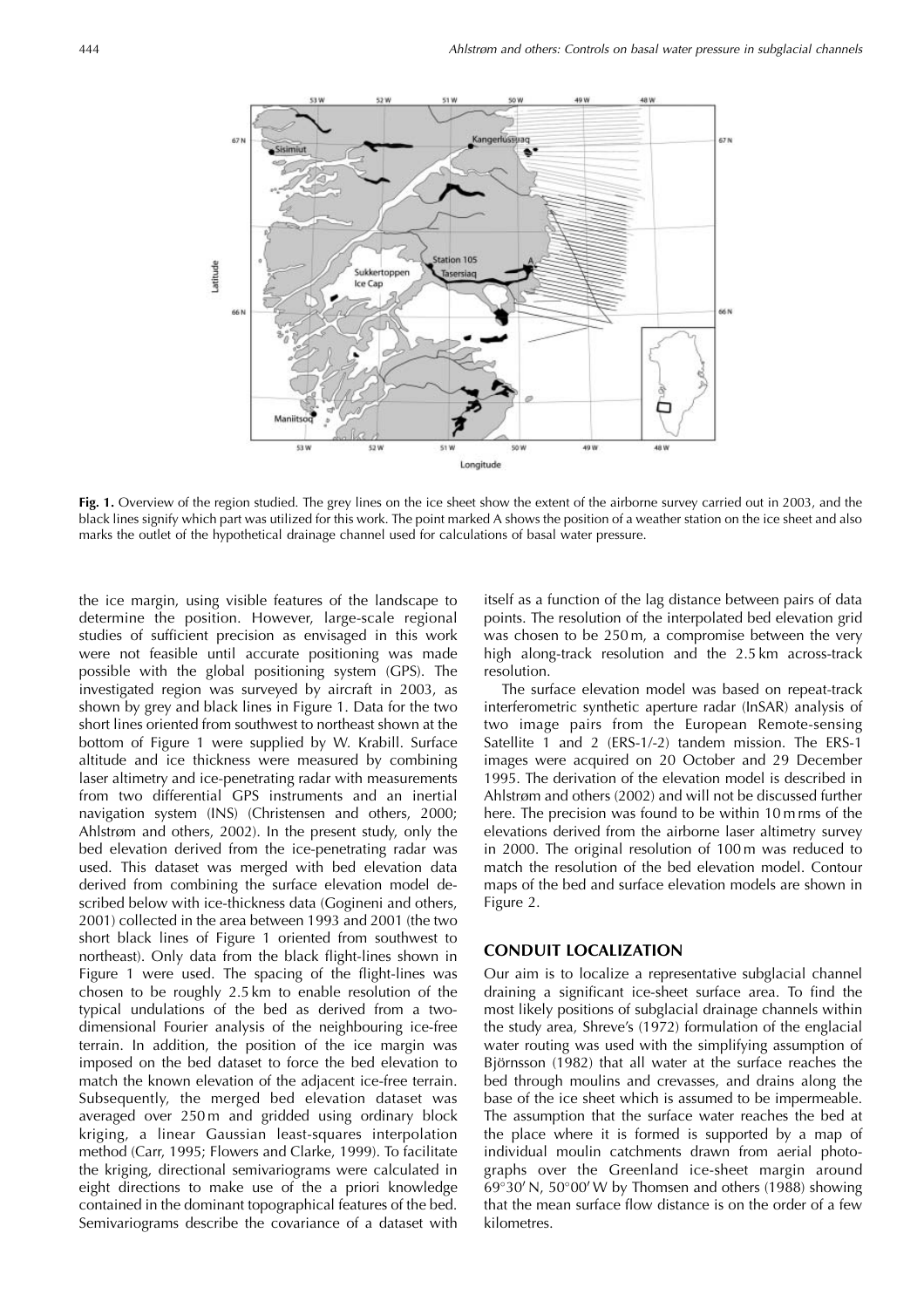

Fig. 1. Overview of the region studied. The grey lines on the ice sheet show the extent of the airborne survey carried out in 2003, and the black lines signify which part was utilized for this work. The point marked A shows the position of a weather station on the ice sheet and also marks the outlet of the hypothetical drainage channel used for calculations of basal water pressure.

the ice margin, using visible features of the landscape to determine the position. However, large-scale regional studies of sufficient precision as envisaged in this work were not feasible until accurate positioning was made possible with the global positioning system (GPS). The investigated region was surveyed by aircraft in 2003, as shown by grey and black lines in Figure 1. Data for the two short lines oriented from southwest to northeast shown at the bottom of Figure 1 were supplied by W. Krabill. Surface altitude and ice thickness were measured by combining laser altimetry and ice-penetrating radar with measurements from two differential GPS instruments and an inertial navigation system (INS) (Christensen and others, 2000; Ahlstrøm and others, 2002). In the present study, only the bed elevation derived from the ice-penetrating radar was used. This dataset was merged with bed elevation data derived from combining the surface elevation model described below with ice-thickness data (Gogineni and others, 2001) collected in the area between 1993 and 2001 (the two short black lines of Figure 1 oriented from southwest to northeast). Only data from the black flight-lines shown in Figure 1 were used. The spacing of the flight-lines was chosen to be roughly 2.5 km to enable resolution of the typical undulations of the bed as derived from a twodimensional Fourier analysis of the neighbouring ice-free terrain. In addition, the position of the ice margin was imposed on the bed dataset to force the bed elevation to match the known elevation of the adjacent ice-free terrain. Subsequently, the merged bed elevation dataset was averaged over 250m and gridded using ordinary block kriging, a linear Gaussian least-squares interpolation method (Carr, 1995; Flowers and Clarke, 1999). To facilitate the kriging, directional semivariograms were calculated in eight directions to make use of the a priori knowledge contained in the dominant topographical features of the bed. Semivariograms describe the covariance of a dataset with

itself as a function of the lag distance between pairs of data points. The resolution of the interpolated bed elevation grid was chosen to be 250m, a compromise between the very high along-track resolution and the 2.5 km across-track resolution.

The surface elevation model was based on repeat-track interferometric synthetic aperture radar (InSAR) analysis of two image pairs from the European Remote-sensing Satellite 1 and 2 (ERS-1/-2) tandem mission. The ERS-1 images were acquired on 20 October and 29 December 1995. The derivation of the elevation model is described in Ahlstrøm and others (2002) and will not be discussed further here. The precision was found to be within 10 m rms of the elevations derived from the airborne laser altimetry survey in 2000. The original resolution of 100m was reduced to match the resolution of the bed elevation model. Contour maps of the bed and surface elevation models are shown in Figure 2.

#### **CONDUIT LOCALIZATION**

Our aim is to localize a representative subglacial channel draining a significant ice-sheet surface area. To find the most likely positions of subglacial drainage channels within the study area, Shreve's (1972) formulation of the englacial water routing was used with the simplifying assumption of Björnsson (1982) that all water at the surface reaches the bed through moulins and crevasses, and drains along the base of the ice sheet which is assumed to be impermeable. The assumption that the surface water reaches the bed at the place where it is formed is supported by a map of individual moulin catchments drawn from aerial photographs over the Greenland ice-sheet margin around  $69^{\circ}30'$  N,  $50^{\circ}00'$  W by Thomsen and others (1988) showing that the mean surface flow distance is on the order of a few kilometres.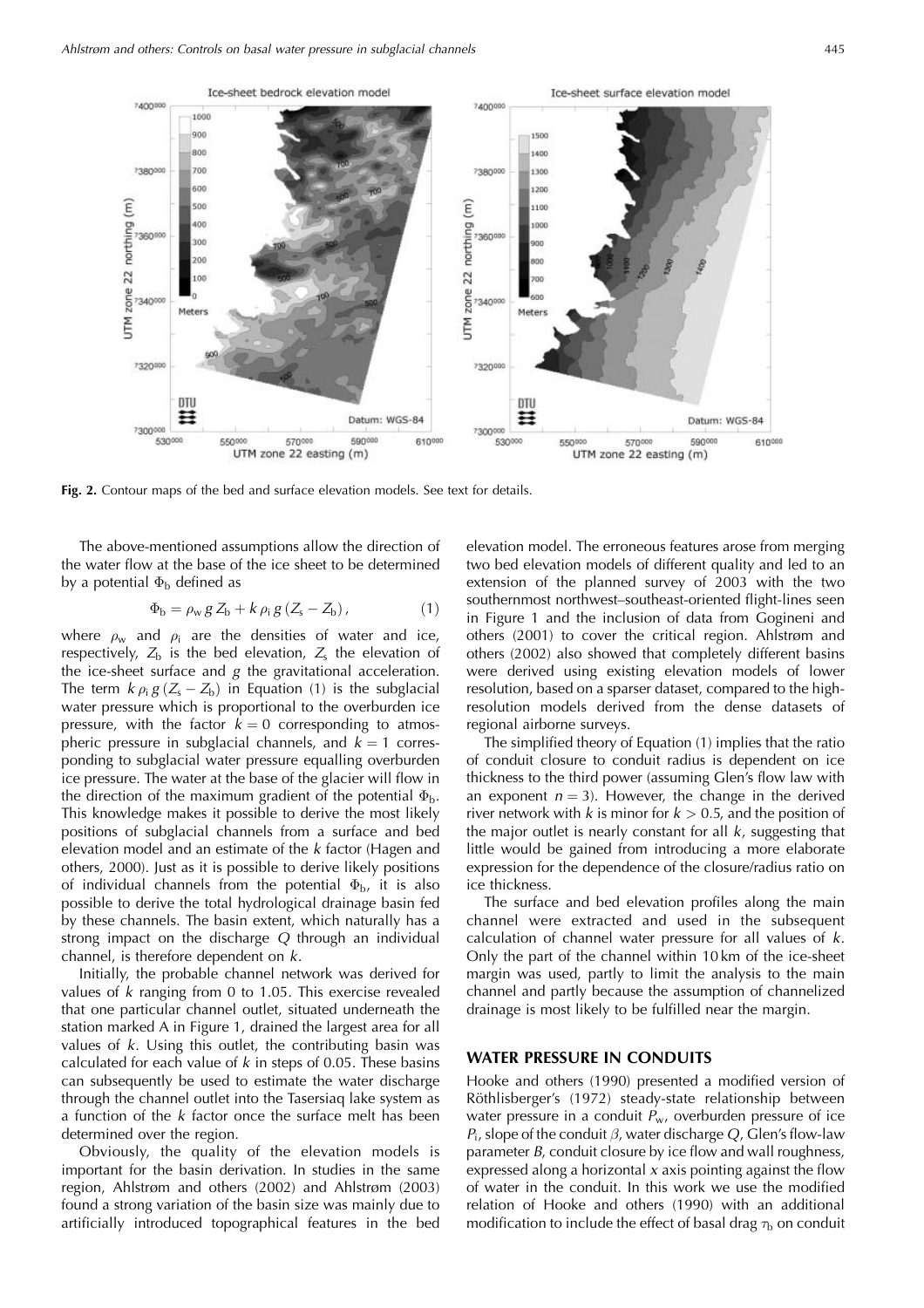

Fig. 2. Contour maps of the bed and surface elevation models. See text for details.

The above-mentioned assumptions allow the direction of the water flow at the base of the ice sheet to be determined by a potential  $\Phi_{\rm b}$  defined as

$$
\Phi_{\rm b} = \rho_{\rm w} g Z_{\rm b} + k \rho_{\rm i} g (Z_{\rm s} - Z_{\rm b}), \qquad (1)
$$

where  $\rho_w$  and  $\rho_i$  are the densities of water and ice, respectively,  $Z_b$  is the bed elevation,  $Z_s$  the elevation of the ice-sheet surface and  $g$  the gravitational acceleration. The term  $k \rho_i g(Z_s - Z_b)$  in Equation (1) is the subglacial water pressure which is proportional to the overburden ice pressure, with the factor  $k = 0$  corresponding to atmospheric pressure in subglacial channels, and  $k = 1$  corresponding to subglacial water pressure equalling overburden ice pressure. The water at the base of the glacier will flow in the direction of the maximum gradient of the potential  $\Phi_{b}$ . This knowledge makes it possible to derive the most likely positions of subglacial channels from a surface and bed elevation model and an estimate of the k factor (Hagen and others, 2000). Just as it is possible to derive likely positions of individual channels from the potential  $\Phi_{b}$ , it is also possible to derive the total hydrological drainage basin fed by these channels. The basin extent, which naturally has a strong impact on the discharge  $Q$  through an individual channel, is therefore dependent on  $k$ .

Initially, the probable channel network was derived for values of  $k$  ranging from 0 to 1.05. This exercise revealed that one particular channel outlet, situated underneath the station marked A in Figure 1, drained the largest area for all values of  $k$ . Using this outlet, the contributing basin was calculated for each value of  $k$  in steps of 0.05. These basins can subsequently be used to estimate the water discharge through the channel outlet into the Tasersiaq lake system as a function of the  $k$  factor once the surface melt has been determined over the region.

Obviously, the quality of the elevation models is important for the basin derivation. In studies in the same region, Ahlstrøm and others (2002) and Ahlstrøm (2003) found a strong variation of the basin size was mainly due to artificially introduced topographical features in the bed elevation model. The erroneous features arose from merging two bed elevation models of different quality and led to an extension of the planned survey of 2003 with the two southernmost northwest-southeast-oriented flight-lines seen in Figure 1 and the inclusion of data from Gogineni and others (2001) to cover the critical region. Ahlstrøm and others (2002) also showed that completely different basins were derived using existing elevation models of lower resolution, based on a sparser dataset, compared to the highresolution models derived from the dense datasets of regional airborne surveys.

The simplified theory of Equation (1) implies that the ratio of conduit closure to conduit radius is dependent on ice thickness to the third power (assuming Glen's flow law with an exponent  $n = 3$ ). However, the change in the derived river network with  $k$  is minor for  $k > 0.5$ , and the position of the major outlet is nearly constant for all  $k$ , suggesting that little would be gained from introducing a more elaborate expression for the dependence of the closure/radius ratio on ice thickness.

The surface and bed elevation profiles along the main channel were extracted and used in the subsequent calculation of channel water pressure for all values of  $k$ . Only the part of the channel within 10 km of the ice-sheet margin was used, partly to limit the analysis to the main channel and partly because the assumption of channelized drainage is most likely to be fulfilled near the margin.

#### WATER PRESSURE IN CONDUITS

Hooke and others (1990) presented a modified version of Röthlisberger's (1972) steady-state relationship between water pressure in a conduit  $P_w$ , overburden pressure of ice  $P_i$ , slope of the conduit  $\beta$ , water discharge Q, Glen's flow-law parameter B, conduit closure by ice flow and wall roughness, expressed along a horizontal  $x$  axis pointing against the flow of water in the conduit. In this work we use the modified relation of Hooke and others (1990) with an additional modification to include the effect of basal drag  $\tau_{\rm b}$  on conduit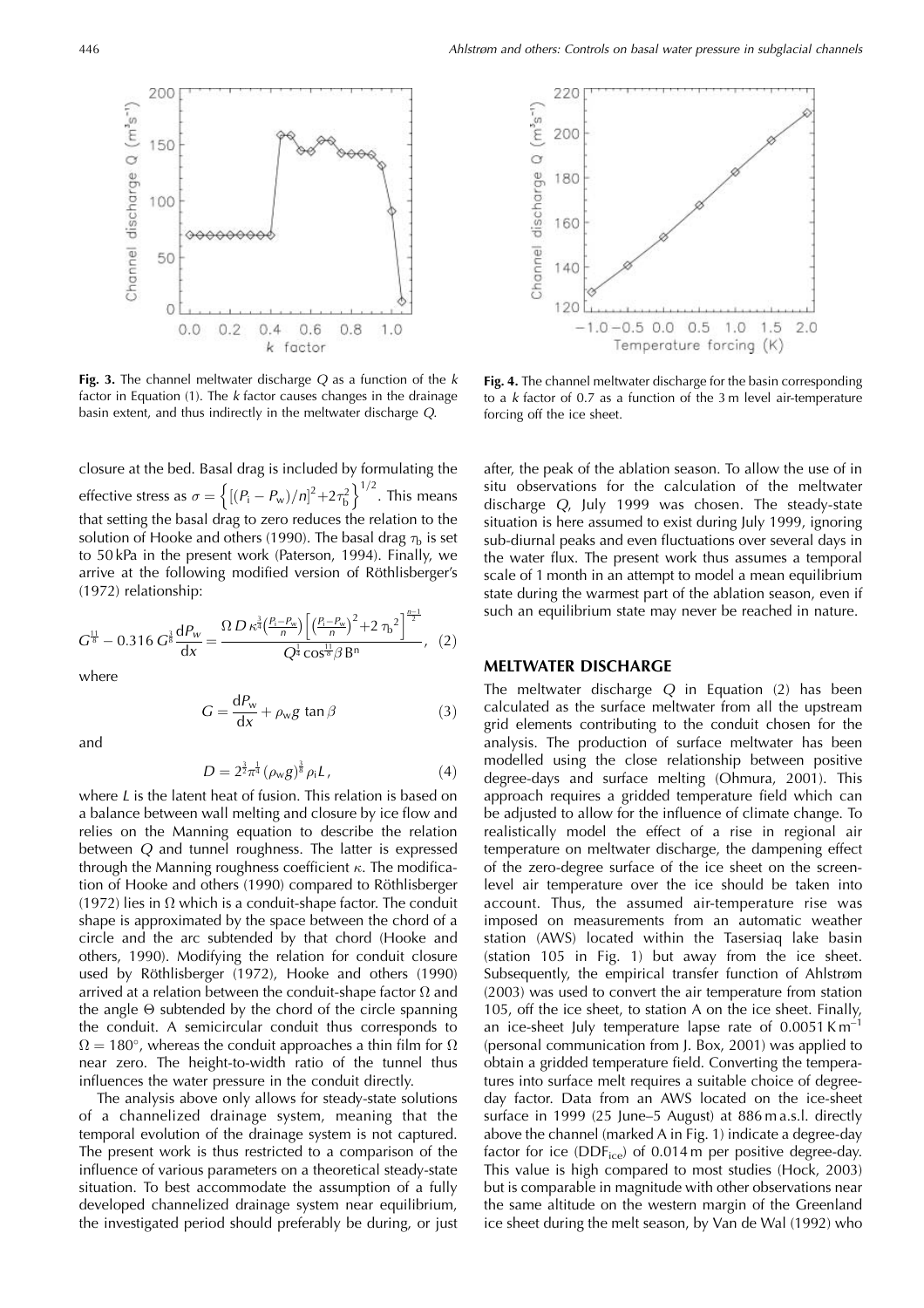Fig. 3. The channel meltwater discharge  $Q$  as a function of the  $k$ factor in Equation  $(1)$ . The *k* factor causes changes in the drainage basin extent, and thus indirectly in the meltwater discharge Q. closure at the bed. Basal drag is included by formulating the

 $0.4$ 

k

 $0.6$ 

factor

 $0.8$ 

 $1.0$ 

effective stress as  $\sigma = \left\{ \left[ (P_{\rm i} - P_{\rm w})/n \right]^2 + 2\tau_b^2 \right\}^{1/2}$ . This means that setting the basal drag to zero reduces the relation to the solution of Hooke and others (1990). The basal drag  $\tau_b$  is set to 50 kPa in the present work (Paterson, 1994). Finally, we arrive at the following modified version of Röthlisberger's (1972) relationship:

$$
G^{\frac{11}{8}} - 0.316 G^{\frac{3}{8}} \frac{dP_w}{dx} = \frac{\Omega D \kappa^{\frac{3}{4}} (\frac{P_i - P_w}{n}) \left[ \left( \frac{P_i - P_w}{n} \right)^2 + 2 \tau_b^2 \right]^{\frac{n-1}{2}}}{Q^{\frac{1}{4}} \cos^{\frac{11}{8}} \beta B^n}, (2)
$$

where

$$
G = \frac{dP_w}{dx} + \rho_w g \tan \beta \tag{3}
$$

and

$$
D = 2^{\frac{3}{2}} \pi^{\frac{1}{4}} (\rho_{w} g)^{\frac{2}{8}} \rho_{i} L, \qquad (4)
$$

where  $L$  is the latent heat of fusion. This relation is based on a balance between wall melting and closure by ice flow and relies on the Manning equation to describe the relation between O and tunnel roughness. The latter is expressed through the Manning roughness coefficient  $\kappa$ . The modification of Hooke and others (1990) compared to Röthlisberger (1972) lies in  $\Omega$  which is a conduit-shape factor. The conduit shape is approximated by the space between the chord of a circle and the arc subtended by that chord (Hooke and others, 1990). Modifying the relation for conduit closure used by Röthlisberger (1972), Hooke and others (1990) arrived at a relation between the conduit-shape factor  $\Omega$  and the angle  $\Theta$  subtended by the chord of the circle spanning the conduit. A semicircular conduit thus corresponds to  $\Omega = 180^{\circ}$ , whereas the conduit approaches a thin film for  $\Omega$ near zero. The height-to-width ratio of the tunnel thus influences the water pressure in the conduit directly.

The analysis above only allows for steady-state solutions of a channelized drainage system, meaning that the temporal evolution of the drainage system is not captured. The present work is thus restricted to a comparison of the influence of various parameters on a theoretical steady-state situation. To best accommodate the assumption of a fully developed channelized drainage system near equilibrium, the investigated period should preferably be during, or just

Fig. 4. The channel meltwater discharge for the basin corresponding to a  $k$  factor of 0.7 as a function of the 3 m level air-temperature forcing off the ice sheet.

after, the peak of the ablation season. To allow the use of in situ observations for the calculation of the meltwater discharge Q, July 1999 was chosen. The steady-state situation is here assumed to exist during July 1999, ignoring sub-diurnal peaks and even fluctuations over several days in the water flux. The present work thus assumes a temporal scale of 1 month in an attempt to model a mean equilibrium state during the warmest part of the ablation season, even if such an equilibrium state may never be reached in nature.

#### **MELTWATER DISCHARGE**

The meltwater discharge  $Q$  in Equation  $(2)$  has been calculated as the surface meltwater from all the upstream grid elements contributing to the conduit chosen for the analysis. The production of surface meltwater has been modelled using the close relationship between positive degree-days and surface melting (Ohmura, 2001). This approach requires a gridded temperature field which can be adjusted to allow for the influence of climate change. To realistically model the effect of a rise in regional air temperature on meltwater discharge, the dampening effect of the zero-degree surface of the ice sheet on the screenlevel air temperature over the ice should be taken into account. Thus, the assumed air-temperature rise was imposed on measurements from an automatic weather station (AWS) located within the Tasersiaq lake basin (station 105 in Fig. 1) but away from the ice sheet. Subsequently, the empirical transfer function of Ahlstrøm (2003) was used to convert the air temperature from station 105, off the ice sheet, to station A on the ice sheet. Finally, an ice-sheet July temperature lapse rate of 0.0051 Km (personal communication from J. Box, 2001) was applied to obtain a gridded temperature field. Converting the temperatures into surface melt requires a suitable choice of degreeday factor. Data from an AWS located on the ice-sheet surface in 1999 (25 June–5 August) at 886 m a.s.l. directly above the channel (marked A in Fig. 1) indicate a degree-day factor for ice (DDFice) of 0.014 m per positive degree-day. This value is high compared to most studies (Hock, 2003) but is comparable in magnitude with other observations near the same altitude on the western margin of the Greenland ice sheet during the melt season, by Van de Wal (1992) who



200

150

100

50

0

 $0.0$ 

 $000000$ 

 $0.2$ 

Channel discharge Q (m<sup>3</sup>s<sup>-1</sup>)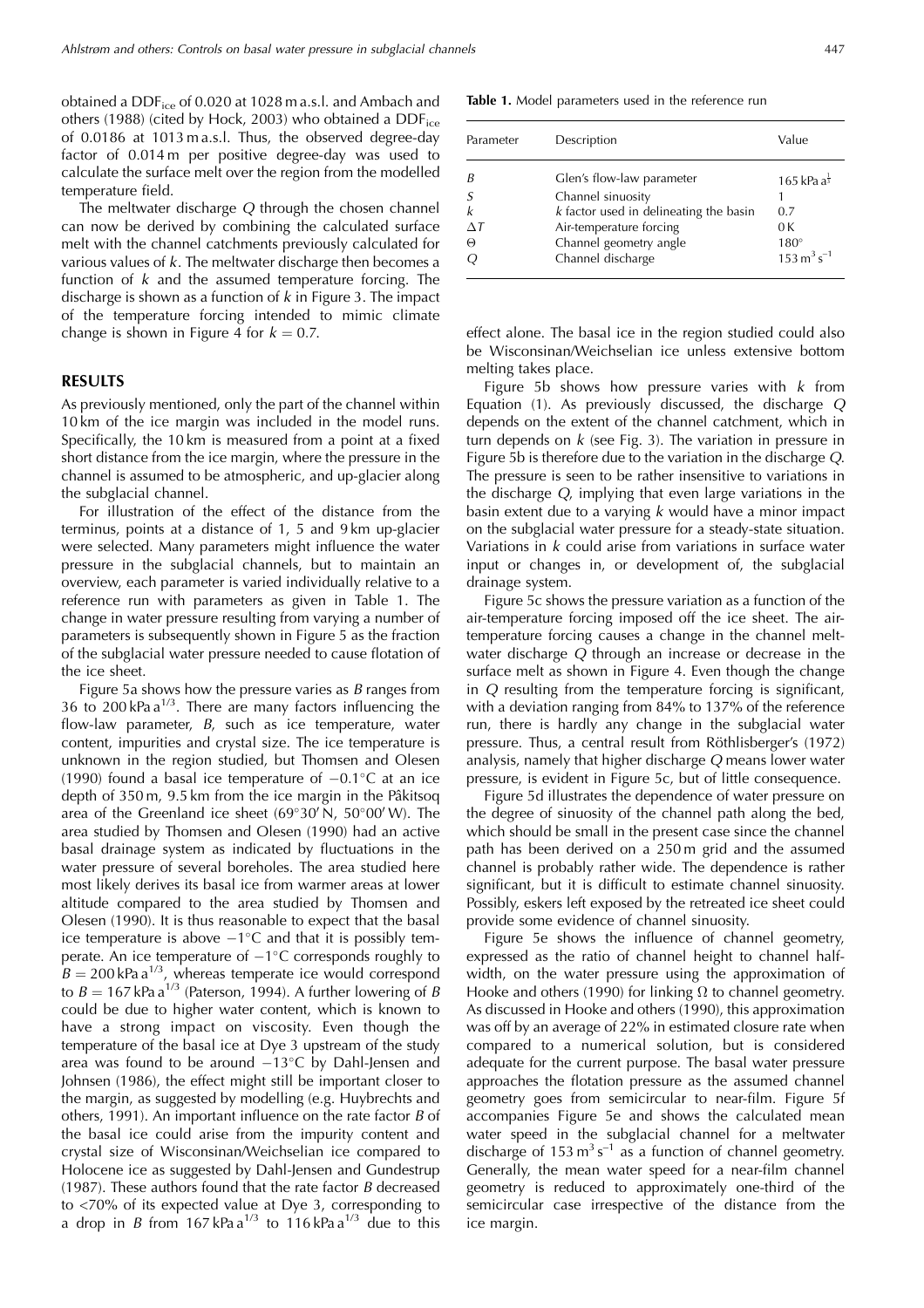obtained a DDF<sub>ice</sub> of 0.020 at 1028 m a.s.l. and Ambach and others (1988) (cited by Hock, 2003) who obtained a DDF<sub>ice</sub> of 0.0186 at 1013 m a.s.l. Thus, the observed degree-day factor of 0.014 m per positive degree-day was used to calculate the surface melt over the region from the modelled temperature field.

The meltwater discharge  $Q$  through the chosen channel can now be derived by combining the calculated surface melt with the channel catchments previously calculated for various values of  $k$ . The meltwater discharge then becomes a function of  $k$  and the assumed temperature forcing. The discharge is shown as a function of  $k$  in Figure 3. The impact of the temperature forcing intended to mimic climate change is shown in Figure 4 for  $k = 0.7$ .

#### **RESULTS**

As previously mentioned, only the part of the channel within 10 km of the ice margin was included in the model runs. Specifically, the 10km is measured from a point at a fixed short distance from the ice margin, where the pressure in the channel is assumed to be atmospheric, and up-glacier along the subglacial channel.

For illustration of the effect of the distance from the terminus, points at a distance of 1, 5 and 9 km up-glacier were selected. Many parameters might influence the water pressure in the subglacial channels, but to maintain an overview, each parameter is varied individually relative to a reference run with parameters as given in Table 1. The change in water pressure resulting from varying a number of parameters is subsequently shown in Figure 5 as the fraction of the subglacial water pressure needed to cause flotation of the ice sheet.

Figure 5a shows how the pressure varies as  $B$  ranges from 36 to 200 kPa  $a^{1/3}$ . There are many factors influencing the flow-law parameter,  $B$ , such as ice temperature, water content, impurities and crystal size. The ice temperature is unknown in the region studied, but Thomsen and Olesen (1990) found a basal ice temperature of  $-0.1$ °C at an ice depth of 350 m, 9.5 km from the ice margin in the Pâkitsoq area of the Greenland ice sheet (69°30'N, 50°00'W). The area studied by Thomsen and Olesen (1990) had an active basal drainage system as indicated by fluctuations in the water pressure of several boreholes. The area studied here most likely derives its basal ice from warmer areas at lower altitude compared to the area studied by Thomsen and Olesen (1990). It is thus reasonable to expect that the basal ice temperature is above  $-1$ °C and that it is possibly temperate. An ice temperature of  $-1^{\circ}$ C corresponds roughly to  $B = 200$  kPa a<sup>1/3</sup>, whereas temperate ice would correspond to  $B = 167$  kPa a<sup>1/3</sup> (Paterson, 1994). A further lowering of B could be due to higher water content, which is known to have a strong impact on viscosity. Even though the temperature of the basal ice at Dye 3 upstream of the study area was found to be around  $-13^{\circ}$ C by Dahl-Jensen and Johnsen (1986), the effect might still be important closer to the margin, as suggested by modelling (e.g. Huybrechts and others, 1991). An important influence on the rate factor  $B$  of the basal ice could arise from the impurity content and crystal size of Wisconsinan/Weichselian ice compared to Holocene ice as suggested by Dahl-Jensen and Gundestrup (1987). These authors found that the rate factor  $B$  decreased to <70% of its expected value at Dye 3, corresponding to<br>a drop in *B* from 167 kPa  $a^{1/3}$  to 116 kPa  $a^{1/3}$  due to this

Table 1. Model parameters used in the reference run

| Parameter            | Description                                                                                                                                                          | Value                                                                                     |
|----------------------|----------------------------------------------------------------------------------------------------------------------------------------------------------------------|-------------------------------------------------------------------------------------------|
| B<br>$\wedge$ T<br>Θ | Glen's flow-law parameter<br>Channel sinuosity<br>$k$ factor used in delineating the basin<br>Air-temperature forcing<br>Channel geometry angle<br>Channel discharge | $165$ kPa a $\frac{1}{3}$<br>0.7<br>0K<br>$180^\circ$<br>$153 \text{ m}^3 \text{ s}^{-1}$ |

effect alone. The basal ice in the region studied could also be Wisconsinan/Weichselian ice unless extensive bottom melting takes place.

Figure 5b shows how pressure varies with  $k$  from Equation (1). As previously discussed, the discharge Q depends on the extent of the channel catchment, which in turn depends on  $k$  (see Fig. 3). The variation in pressure in Figure 5b is therefore due to the variation in the discharge Q. The pressure is seen to be rather insensitive to variations in the discharge  $Q$ , implying that even large variations in the basin extent due to a varying  $k$  would have a minor impact on the subglacial water pressure for a steady-state situation. Variations in  $k$  could arise from variations in surface water input or changes in, or development of, the subglacial drainage system.

Figure 5c shows the pressure variation as a function of the air-temperature forcing imposed off the ice sheet. The airtemperature forcing causes a change in the channel meltwater discharge  $Q$  through an increase or decrease in the surface melt as shown in Figure 4. Even though the change in  $Q$  resulting from the temperature forcing is significant, with a deviation ranging from 84% to 137% of the reference run, there is hardly any change in the subglacial water pressure. Thus, a central result from Röthlisberger's (1972) analysis, namely that higher discharge  $Q$  means lower water pressure, is evident in Figure 5c, but of little consequence.

Figure 5d illustrates the dependence of water pressure on the degree of sinuosity of the channel path along the bed, which should be small in the present case since the channel path has been derived on a 250 m grid and the assumed channel is probably rather wide. The dependence is rather significant, but it is difficult to estimate channel sinuosity. Possibly, eskers left exposed by the retreated ice sheet could provide some evidence of channel sinuosity.

Figure 5e shows the influence of channel geometry, expressed as the ratio of channel height to channel halfwidth, on the water pressure using the approximation of Hooke and others (1990) for linking  $\Omega$  to channel geometry. As discussed in Hooke and others (1990), this approximation was off by an average of 22% in estimated closure rate when compared to a numerical solution, but is considered adequate for the current purpose. The basal water pressure approaches the flotation pressure as the assumed channel geometry goes from semicircular to near-film. Figure 5f accompanies Figure 5e and shows the calculated mean water speed in the subglacial channel for a meltwater discharge of  $153 \text{ m}^3 \text{ s}^{-1}$  as a function of channel geometry. Generally, the mean water speed for a near-film channel geometry is reduced to approximately one-third of the semicircular case irrespective of the distance from the ice margin.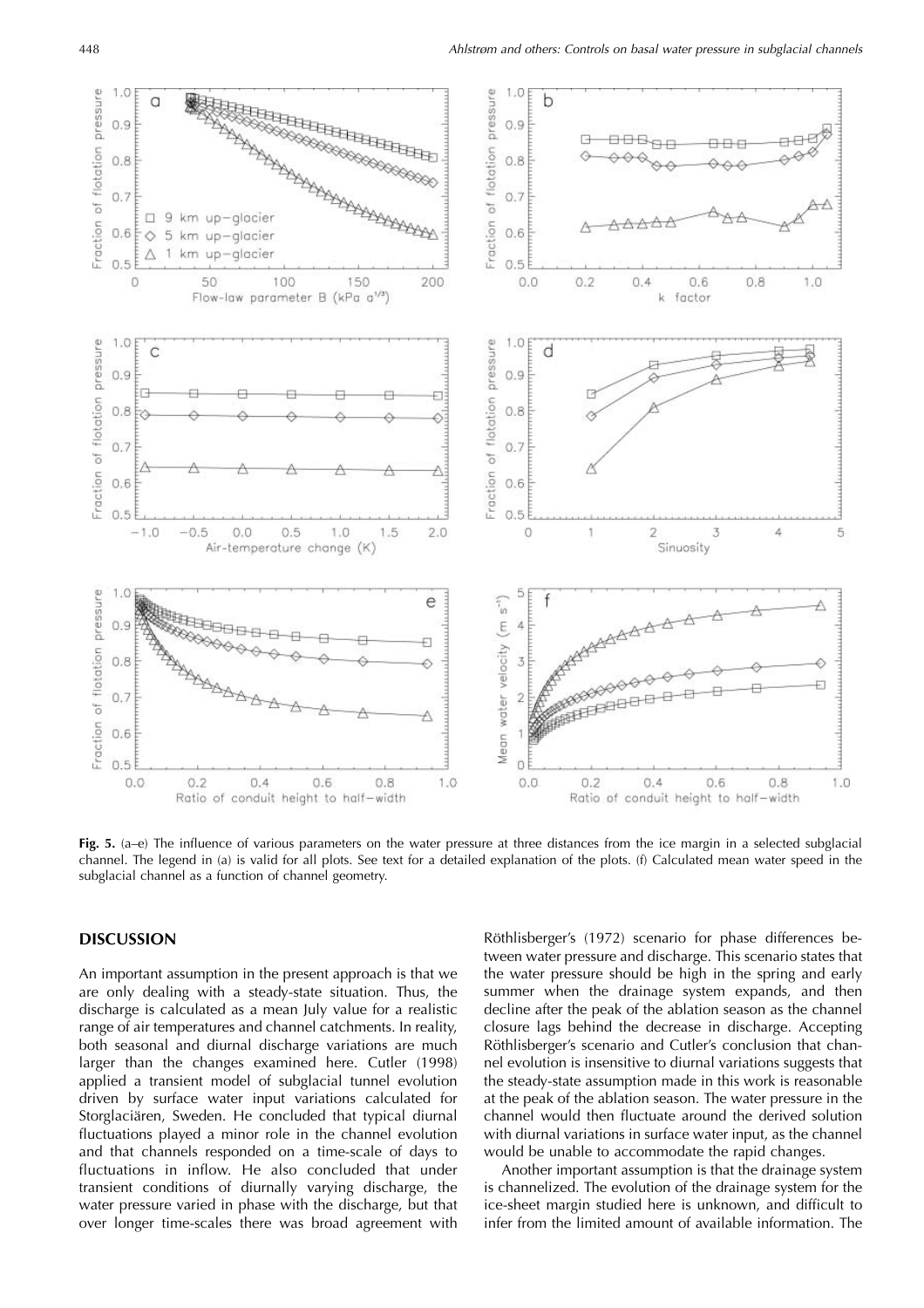

Fig. 5.  $(a-e)$  The influence of various parameters on the water pressure at three distances from the ice margin in a selected subglacial channel. The legend in (a) is valid for all plots. See text for a detailed explanation of the plots. (f) Calculated mean water speed in the subglacial channel as a function of channel geometry.

#### **DISCUSSION**

An important assumption in the present approach is that we are only dealing with a steady-state situation. Thus, the discharge is calculated as a mean July value for a realistic range of air temperatures and channel catchments. In reality, both seasonal and diurnal discharge variations are much larger than the changes examined here. Cutler (1998) applied a transient model of subglacial tunnel evolution driven by surface water input variations calculated for Storglaciären, Sweden. He concluded that typical diurnal fluctuations played a minor role in the channel evolution and that channels responded on a time-scale of days to fluctuations in inflow. He also concluded that under transient conditions of diurnally varying discharge, the water pressure varied in phase with the discharge, but that over longer time-scales there was broad agreement with Röthlisberger's (1972) scenario for phase differences between water pressure and discharge. This scenario states that the water pressure should be high in the spring and early summer when the drainage system expands, and then decline after the peak of the ablation season as the channel closure lags behind the decrease in discharge. Accepting Röthlisberger's scenario and Cutler's conclusion that channel evolution is insensitive to diurnal variations suggests that the steady-state assumption made in this work is reasonable at the peak of the ablation season. The water pressure in the channel would then fluctuate around the derived solution with diurnal variations in surface water input, as the channel would be unable to accommodate the rapid changes.

Another important assumption is that the drainage system is channelized. The evolution of the drainage system for the ice-sheet margin studied here is unknown, and difficult to infer from the limited amount of available information. The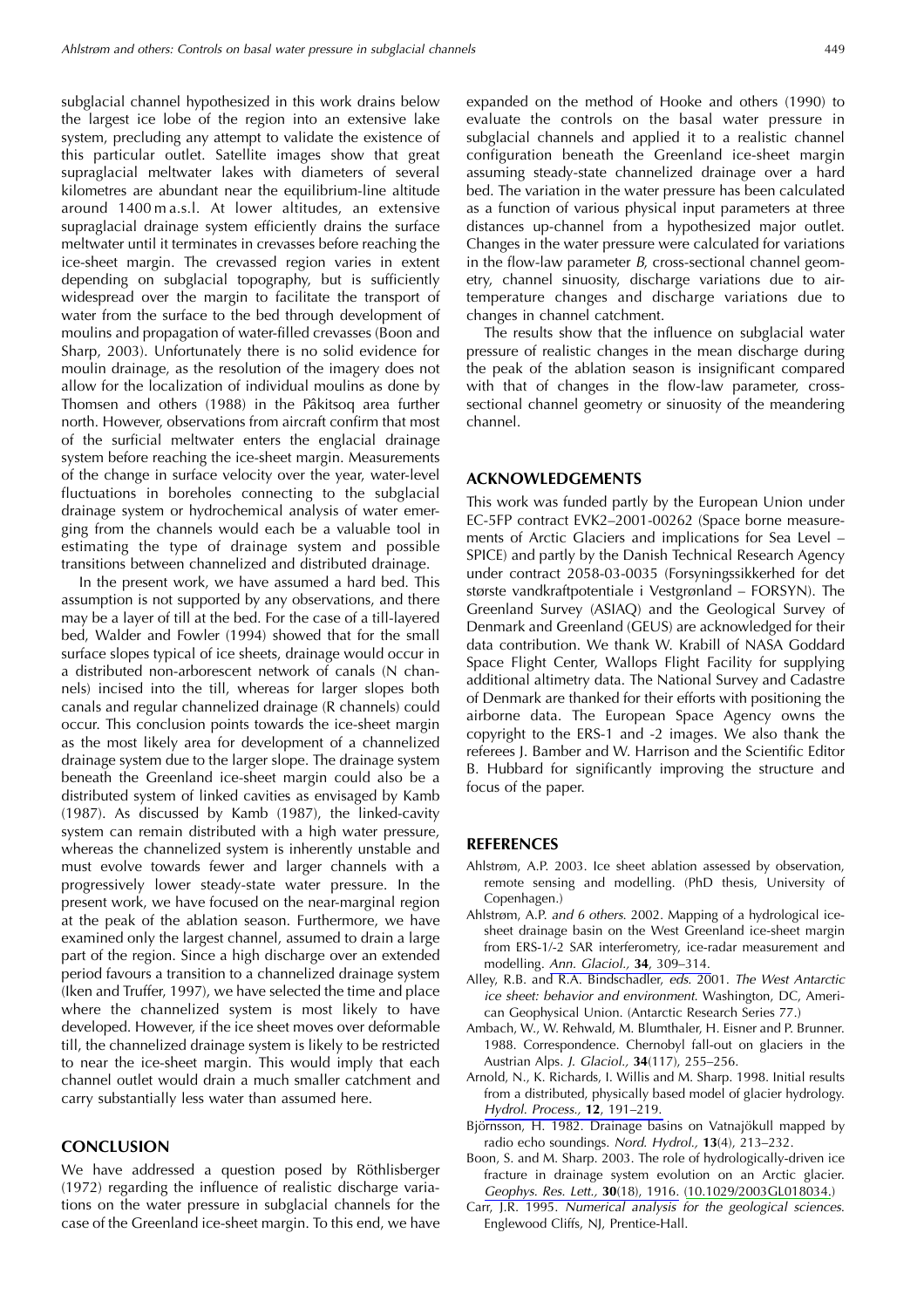subglacial channel hypothesized in this work drains below the largest ice lobe of the region into an extensive lake system, precluding any attempt to validate the existence of this particular outlet. Satellite images show that great supraglacial meltwater lakes with diameters of several kilometres are abundant near the equilibrium-line altitude around 1400 m a.s.l. At lower altitudes, an extensive supraglacial drainage system efficiently drains the surface meltwater until it terminates in crevasses before reaching the ice-sheet margin. The crevassed region varies in extent depending on subglacial topography, but is sufficiently widespread over the margin to facilitate the transport of water from the surface to the bed through development of moulins and propagation of water-filled crevasses (Boon and Sharp, 2003). Unfortunately there is no solid evidence for moulin drainage, as the resolution of the imagery does not allow for the localization of individual moulins as done by Thomsen and others (1988) in the Pâkitsog area further north. However, observations from aircraft confirm that most of the surficial meltwater enters the englacial drainage system before reaching the ice-sheet margin. Measurements of the change in surface velocity over the year, water-level fluctuations in boreholes connecting to the subglacial drainage system or hydrochemical analysis of water emerging from the channels would each be a valuable tool in estimating the type of drainage system and possible transitions between channelized and distributed drainage.

In the present work, we have assumed a hard bed. This assumption is not supported by any observations, and there may be a layer of till at the bed. For the case of a till-layered bed, Walder and Fowler (1994) showed that for the small surface slopes typical of ice sheets, drainage would occur in a distributed non-arborescent network of canals (N channels) incised into the till, whereas for larger slopes both canals and regular channelized drainage (R channels) could occur. This conclusion points towards the ice-sheet margin as the most likely area for development of a channelized drainage system due to the larger slope. The drainage system beneath the Greenland ice-sheet margin could also be a distributed system of linked cavities as envisaged by Kamb (1987). As discussed by Kamb (1987), the linked-cavity system can remain distributed with a high water pressure, whereas the channelized system is inherently unstable and must evolve towards fewer and larger channels with a progressively lower steady-state water pressure. In the present work, we have focused on the near-marginal region at the peak of the ablation season. Furthermore, we have examined only the largest channel, assumed to drain a large part of the region. Since a high discharge over an extended period favours a transition to a channelized drainage system (Iken and Truffer, 1997), we have selected the time and place where the channelized system is most likely to have developed. However, if the ice sheet moves over deformable till, the channelized drainage system is likely to be restricted to near the ice-sheet margin. This would imply that each channel outlet would drain a much smaller catchment and carry substantially less water than assumed here.

#### **CONCLUSION**

We have addressed a question posed by Röthlisberger (1972) regarding the influence of realistic discharge variations on the water pressure in subglacial channels for the case of the Greenland ice-sheet margin. To this end, we have expanded on the method of Hooke and others (1990) to evaluate the controls on the basal water pressure in subglacial channels and applied it to a realistic channel configuration beneath the Greenland ice-sheet margin assuming steady-state channelized drainage over a hard bed. The variation in the water pressure has been calculated as a function of various physical input parameters at three distances up-channel from a hypothesized major outlet. Changes in the water pressure were calculated for variations in the flow-law parameter  $B$ , cross-sectional channel geometry, channel sinuosity, discharge variations due to airtemperature changes and discharge variations due to changes in channel catchment.

The results show that the influence on subglacial water pressure of realistic changes in the mean discharge during the peak of the ablation season is insignificant compared with that of changes in the flow-law parameter, crosssectional channel geometry or sinuosity of the meandering channel.

#### **ACKNOWLEDGEMENTS**

This work was funded partly by the European Union under EC-5FP contract EVK2-2001-00262 (Space borne measurements of Arctic Glaciers and implications for Sea Level -SPICE) and partly by the Danish Technical Research Agency under contract 2058-03-0035 (Forsyningssikkerhed for det største vandkraftpotentiale i Vestgrønland – FORSYN). The Greenland Survey (ASIAQ) and the Geological Survey of Denmark and Greenland (GEUS) are acknowledged for their data contribution. We thank W. Krabill of NASA Goddard Space Flight Center, Wallops Flight Facility for supplying additional altimetry data. The National Survey and Cadastre of Denmark are thanked for their efforts with positioning the airborne data. The European Space Agency owns the copyright to the ERS-1 and -2 images. We also thank the referees J. Bamber and W. Harrison and the Scientific Editor B. Hubbard for significantly improving the structure and focus of the paper.

#### **REFERENCES**

- Ahlstrøm, A.P. 2003. Ice sheet ablation assessed by observation, remote sensing and modelling. (PhD thesis, University of Copenhagen.)
- Ahlstrøm, A.P. and 6 others. 2002. Mapping of a hydrological icesheet drainage basin on the West Greenland ice-sheet margin from ERS-1/-2 SAR interferometry, ice-radar measurement and modelling. Ann. Glaciol., 34, 309-314.
- Alley, R.B. and R.A. Bindschadler, eds. 2001. The West Antarctic ice sheet: behavior and environment. Washington, DC, American Geophysical Union. (Antarctic Research Series 77.)
- Ambach, W., W. Rehwald, M. Blumthaler, H. Eisner and P. Brunner. 1988. Correspondence. Chernobyl fall-out on glaciers in the Austrian Alps. J. Glaciol., 34(117), 255-256.
- Arnold, N., K. Richards, I. Willis and M. Sharp. 1998. Initial results from a distributed, physically based model of glacier hydrology. Hydrol. Process., 12, 191-219.
- Björnsson, H. 1982. Drainage basins on Vatnajökull mapped by radio echo soundings. Nord. Hydrol., 13(4), 213-232.
- Boon, S. and M. Sharp. 2003. The role of hydrologically-driven ice fracture in drainage system evolution on an Arctic glacier. Geophys. Res. Lett., 30(18), 1916. (10.1029/2003GL018034.)
- Carr, J.R. 1995. Numerical analysis for the geological sciences. Englewood Cliffs, NJ, Prentice-Hall.